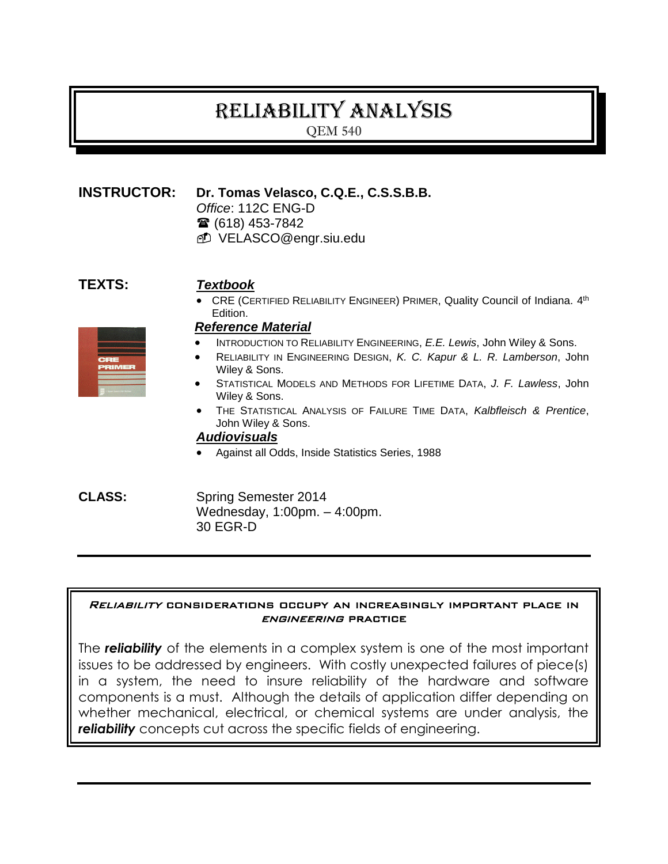# Reliability analysis

QEM 540

# **INSTRUCTOR: Dr. Tomas Velasco, C.Q.E., C.S.S.B.B.**

*Office*: 112C ENG-D

- (618) 453-7842
- VELASCO@engr.siu.edu

# **TEXTS:** *Textbook*

• CRE (CERTIFIED RELIABILITY ENGINEER) PRIMER, Quality Council of Indiana. 4<sup>th</sup> Edition.

#### *Reference Material*

- INTRODUCTION TO RELIABILITY ENGINEERING, *E.E. Lewis*, John Wiley & Sons.
- RELIABILITY IN ENGINEERING DESIGN, *K. C. Kapur & L. R. Lamberson*, John Wiley & Sons.
- STATISTICAL MODELS AND METHODS FOR LIFETIME DATA, *J. F. Lawless*, John Wiley & Sons.
- THE STATISTICAL ANALYSIS OF FAILURE TIME DATA, *Kalbfleisch & Prentice*, John Wiley & Sons.

#### *Audiovisuals*

Against all Odds, Inside Statistics Series, 1988

**CLASS:** Spring Semester 2014 Wednesday, 1:00pm. – 4:00pm. 30 EGR-D

#### Reliability considerations occupy an increasingly important place in engineering practice

The *reliability* of the elements in a complex system is one of the most important issues to be addressed by engineers. With costly unexpected failures of piece(s) in a system, the need to insure reliability of the hardware and software components is a must. Although the details of application differ depending on whether mechanical, electrical, or chemical systems are under analysis, the *reliability* concepts cut across the specific fields of engineering.

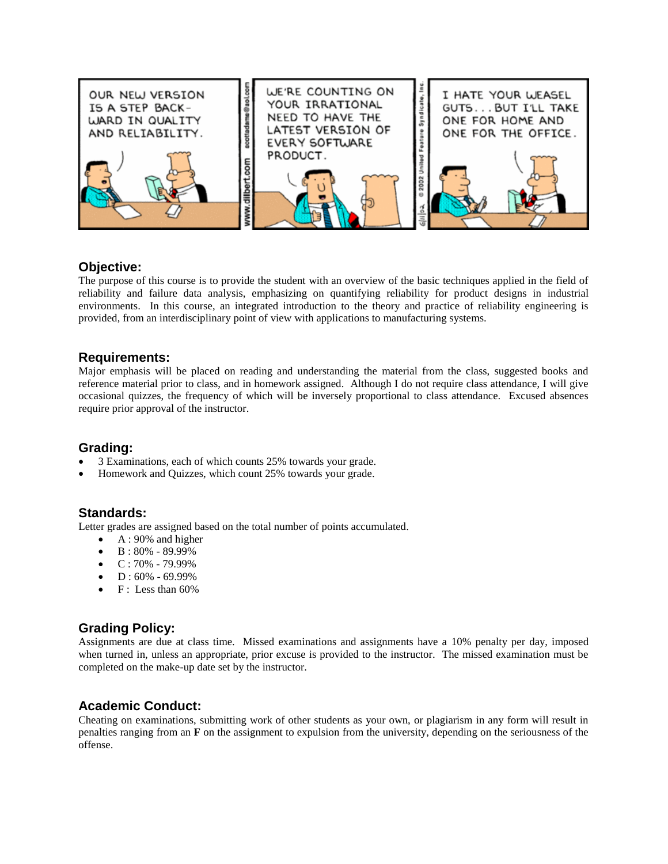

#### **Objective:**

The purpose of this course is to provide the student with an overview of the basic techniques applied in the field of reliability and failure data analysis, emphasizing on quantifying reliability for product designs in industrial environments. In this course, an integrated introduction to the theory and practice of reliability engineering is provided, from an interdisciplinary point of view with applications to manufacturing systems.

#### **Requirements:**

Major emphasis will be placed on reading and understanding the material from the class, suggested books and reference material prior to class, and in homework assigned. Although I do not require class attendance, I will give occasional quizzes, the frequency of which will be inversely proportional to class attendance. Excused absences require prior approval of the instructor.

#### **Grading:**

- 3 Examinations, each of which counts 25% towards your grade.
- Homework and Quizzes, which count 25% towards your grade.

#### **Standards:**

Letter grades are assigned based on the total number of points accumulated.

- $\bullet$  A : 90% and higher
- $\bullet$  B: 80% 89.99%
- $\bullet$  C: 70% 79.99%
- $D: 60\% 69.99\%$
- F : Less than 60%

#### **Grading Policy:**

Assignments are due at class time. Missed examinations and assignments have a 10% penalty per day, imposed when turned in, unless an appropriate, prior excuse is provided to the instructor. The missed examination must be completed on the make-up date set by the instructor.

#### **Academic Conduct:**

Cheating on examinations, submitting work of other students as your own, or plagiarism in any form will result in penalties ranging from an **F** on the assignment to expulsion from the university, depending on the seriousness of the offense.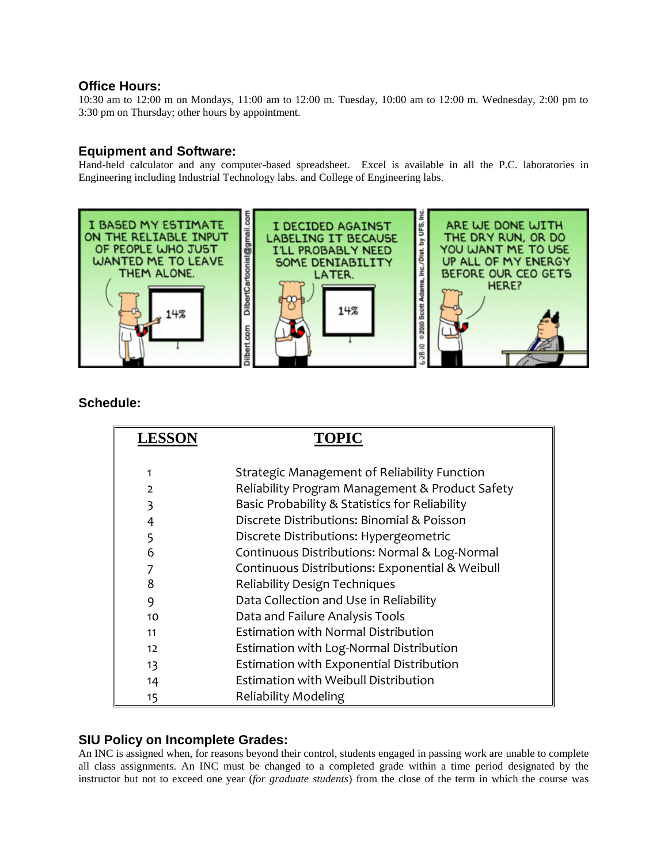#### **Office Hours:**

10:30 am to 12:00 m on Mondays, 11:00 am to 12:00 m. Tuesday, 10:00 am to 12:00 m. Wednesday, 2:00 pm to 3:30 pm on Thursday; other hours by appointment.

#### **Equipment and Software:**

Hand-held calculator and any computer-based spreadsheet. Excel is available in all the P.C. laboratories in Engineering including Industrial Technology labs. and College of Engineering labs.



#### **Schedule:**

| <b>LESSON</b> | <b>TOPIC</b>                                    |
|---------------|-------------------------------------------------|
|               |                                                 |
| 1             | Strategic Management of Reliability Function    |
| $\mathcal{L}$ | Reliability Program Management & Product Safety |
| 3             | Basic Probability & Statistics for Reliability  |
| 4             | Discrete Distributions: Binomial & Poisson      |
| 5             | Discrete Distributions: Hypergeometric          |
| 6             | Continuous Distributions: Normal & Log-Normal   |
| 7             | Continuous Distributions: Exponential & Weibull |
| 8             | <b>Reliability Design Techniques</b>            |
| 9             | Data Collection and Use in Reliability          |
| 10            | Data and Failure Analysis Tools                 |
| 11            | <b>Estimation with Normal Distribution</b>      |
| 12            | Estimation with Log-Normal Distribution         |
| 13            | Estimation with Exponential Distribution        |
| 14            | Estimation with Weibull Distribution            |
| 15            | <b>Reliability Modeling</b>                     |

#### **SIU Policy on Incomplete Grades:**

An INC is assigned when, for reasons beyond their control, students engaged in passing work are unable to complete all class assignments. An INC must be changed to a completed grade within a time period designated by the instructor but not to exceed one year (*for graduate students*) from the close of the term in which the course was